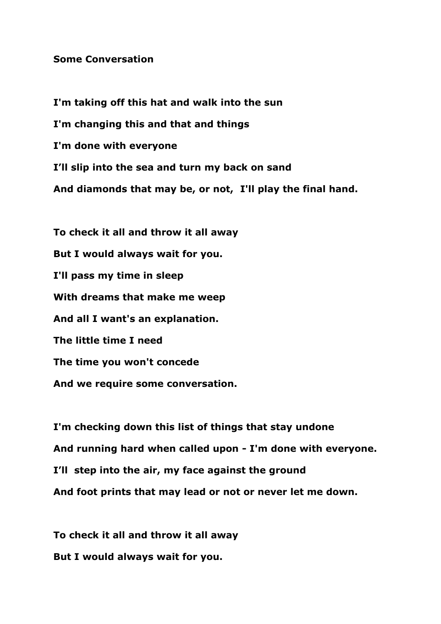## **Some Conversation**

**I'm taking off this hat and walk into the sun I'm changing this and that and things I'm done with everyone I'll slip into the sea and turn my back on sand And diamonds that may be, or not, I'll play the final hand. To check it all and throw it all away But I would always wait for you. I'll pass my time in sleep**

**With dreams that make me weep And all I want's an explanation. The little time I need The time you won't concede And we require some conversation.**

**I'm checking down this list of things that stay undone And running hard when called upon - I'm done with everyone. I'll step into the air, my face against the ground And foot prints that may lead or not or never let me down.**

**To check it all and throw it all away But I would always wait for you.**